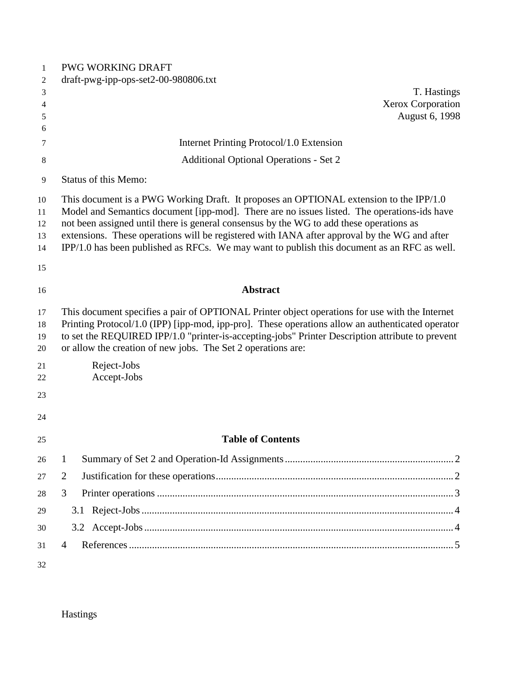| $\mathbf{1}$ | <b>PWG WORKING DRAFT</b>                                                                                                                                                               |
|--------------|----------------------------------------------------------------------------------------------------------------------------------------------------------------------------------------|
| 2            | draft-pwg-ipp-ops-set2-00-980806.txt                                                                                                                                                   |
| 3            | T. Hastings                                                                                                                                                                            |
| 4            | Xerox Corporation<br>August 6, 1998                                                                                                                                                    |
| 5<br>6       |                                                                                                                                                                                        |
| 7            | Internet Printing Protocol/1.0 Extension                                                                                                                                               |
| 8            | <b>Additional Optional Operations - Set 2</b>                                                                                                                                          |
| 9            | <b>Status of this Memo:</b>                                                                                                                                                            |
|              |                                                                                                                                                                                        |
| 10           | This document is a PWG Working Draft. It proposes an OPTIONAL extension to the IPP/1.0                                                                                                 |
| 11<br>12     | Model and Semantics document [ipp-mod]. There are no issues listed. The operations-ids have<br>not been assigned until there is general consensus by the WG to add these operations as |
| 13           | extensions. These operations will be registered with IANA after approval by the WG and after                                                                                           |
| 14           | IPP/1.0 has been published as RFCs. We may want to publish this document as an RFC as well.                                                                                            |
| 15           |                                                                                                                                                                                        |
| 16           | <b>Abstract</b>                                                                                                                                                                        |
| 17           | This document specifies a pair of OPTIONAL Printer object operations for use with the Internet                                                                                         |
| 18           | Printing Protocol/1.0 (IPP) [ipp-mod, ipp-pro]. These operations allow an authenticated operator                                                                                       |
| 19           | to set the REQUIRED IPP/1.0 "printer-is-accepting-jobs" Printer Description attribute to prevent                                                                                       |
| 20           | or allow the creation of new jobs. The Set 2 operations are:                                                                                                                           |
| 21           | Reject-Jobs                                                                                                                                                                            |
| 22           | Accept-Jobs                                                                                                                                                                            |
| 23           |                                                                                                                                                                                        |
| 24           |                                                                                                                                                                                        |
| 25           | <b>Table of Contents</b>                                                                                                                                                               |
| 26           | 1                                                                                                                                                                                      |
| 27           | 2                                                                                                                                                                                      |
| 28           | 3                                                                                                                                                                                      |
| 29           |                                                                                                                                                                                        |
| 30           |                                                                                                                                                                                        |
| 31           | $\overline{4}$                                                                                                                                                                         |
| 32           |                                                                                                                                                                                        |

Hastings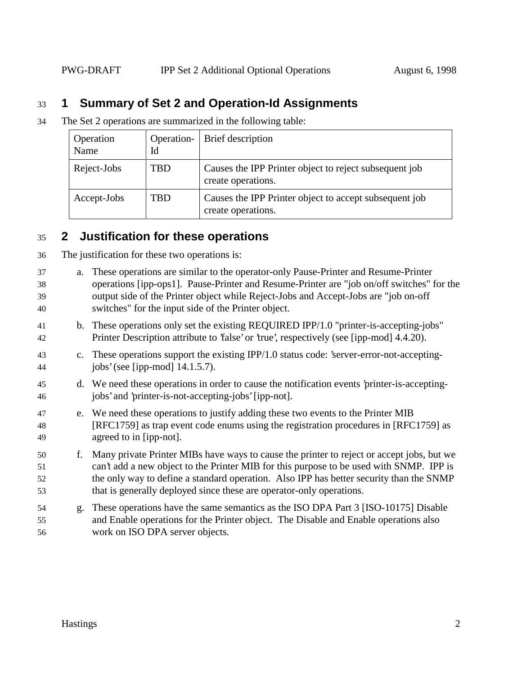## **1 Summary of Set 2 and Operation-Id Assignments**

The Set 2 operations are summarized in the following table:

| Operation<br>Name | Operation-<br>Id | Brief description                                                            |
|-------------------|------------------|------------------------------------------------------------------------------|
| Reject-Jobs       | TBD              | Causes the IPP Printer object to reject subsequent job<br>create operations. |
| Accept-Jobs       | TBD              | Causes the IPP Printer object to accept subsequent job<br>create operations. |

## **2 Justification for these operations**

| 36 | The justification for these two operations is: |  |
|----|------------------------------------------------|--|
|    |                                                |  |

| 37<br>38<br>39<br>40 | a. | These operations are similar to the operator-only Pause-Printer and Resume-Printer<br>operations [ipp-ops1]. Pause-Printer and Resume-Printer are "job on/off switches" for the<br>output side of the Printer object while Reject-Jobs and Accept-Jobs are "job on-off<br>switches" for the input side of the Printer object.                           |
|----------------------|----|---------------------------------------------------------------------------------------------------------------------------------------------------------------------------------------------------------------------------------------------------------------------------------------------------------------------------------------------------------|
| 41<br>42             |    | b. These operations only set the existing REQUIRED IPP/1.0 "printer-is-accepting-jobs"<br>Printer Description attribute to 'false' or 'true', respectively (see [ipp-mod] 4.4.20).                                                                                                                                                                      |
| 43<br>44             |    | c. These operations support the existing IPP/1.0 status code: 'server-error-not-accepting-<br>jobs' (see [ipp-mod] $14.1.5.7$ ).                                                                                                                                                                                                                        |
| 45<br>46             |    | d. We need these operations in order to cause the notification events 'printer-is-accepting-<br>jobs' and 'printer-is-not-accepting-jobs' [ipp-not].                                                                                                                                                                                                    |
| 47<br>48<br>49       |    | e. We need these operations to justify adding these two events to the Printer MIB<br>[RFC1759] as trap event code enums using the registration procedures in [RFC1759] as<br>agreed to in [ipp-not].                                                                                                                                                    |
| 50<br>51<br>52<br>53 | f. | Many private Printer MIBs have ways to cause the printer to reject or accept jobs, but we<br>can't add a new object to the Printer MIB for this purpose to be used with SNMP. IPP is<br>the only way to define a standard operation. Also IPP has better security than the SNMP<br>that is generally deployed since these are operator-only operations. |
| 54<br>55<br>56       |    | g. These operations have the same semantics as the ISO DPA Part 3 [ISO-10175] Disable<br>and Enable operations for the Printer object. The Disable and Enable operations also<br>work on ISO DPA server objects.                                                                                                                                        |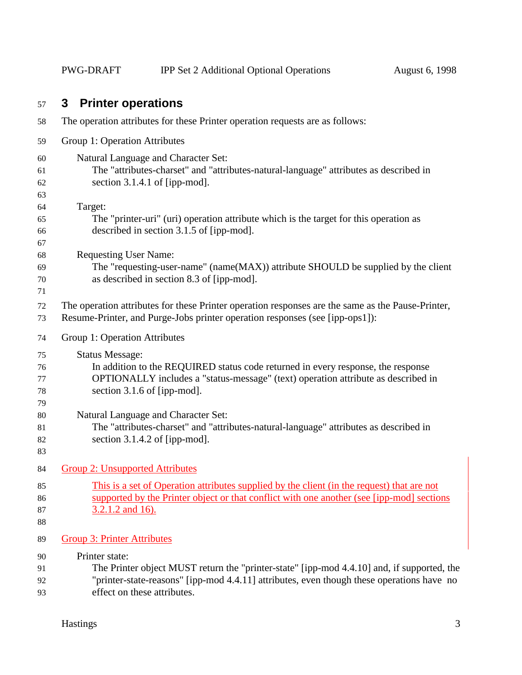# **3 Printer operations**

| 58                         | The operation attributes for these Printer operation requests are as follows:                                                                                                                                                            |
|----------------------------|------------------------------------------------------------------------------------------------------------------------------------------------------------------------------------------------------------------------------------------|
| 59                         | Group 1: Operation Attributes                                                                                                                                                                                                            |
| 60<br>61<br>62<br>63       | Natural Language and Character Set:<br>The "attributes-charset" and "attributes-natural-language" attributes as described in<br>section $3.1.4.1$ of [ipp-mod].                                                                          |
| 64<br>65<br>66<br>67       | Target:<br>The "printer-uri" (uri) operation attribute which is the target for this operation as<br>described in section 3.1.5 of [ipp-mod].                                                                                             |
| 68<br>69<br>70<br>71       | <b>Requesting User Name:</b><br>The "requesting-user-name" (name(MAX)) attribute SHOULD be supplied by the client<br>as described in section 8.3 of [ipp-mod].                                                                           |
| 72<br>73                   | The operation attributes for these Printer operation responses are the same as the Pause-Printer,<br>Resume-Printer, and Purge-Jobs printer operation responses (see [ipp-ops1]):                                                        |
| 74                         | Group 1: Operation Attributes                                                                                                                                                                                                            |
| 75<br>76<br>77<br>78<br>79 | <b>Status Message:</b><br>In addition to the REQUIRED status code returned in every response, the response<br>OPTIONALLY includes a "status-message" (text) operation attribute as described in<br>section 3.1.6 of [ipp-mod].           |
| 80<br>81<br>82<br>83       | Natural Language and Character Set:<br>The "attributes-charset" and "attributes-natural-language" attributes as described in<br>section $3.1.4.2$ of [ipp-mod].                                                                          |
| 84                         | <b>Group 2: Unsupported Attributes</b>                                                                                                                                                                                                   |
| 85<br>86<br>87<br>88       | This is a set of Operation attributes supplied by the client (in the request) that are not<br>supported by the Printer object or that conflict with one another (see [ipp-mod] sections<br>$3.2.1.2$ and 16).                            |
| 89                         | <b>Group 3: Printer Attributes</b>                                                                                                                                                                                                       |
| 90<br>91<br>92<br>93       | Printer state:<br>The Printer object MUST return the "printer-state" [ipp-mod 4.4.10] and, if supported, the<br>"printer-state-reasons" [ipp-mod 4.4.11] attributes, even though these operations have no<br>effect on these attributes. |
|                            |                                                                                                                                                                                                                                          |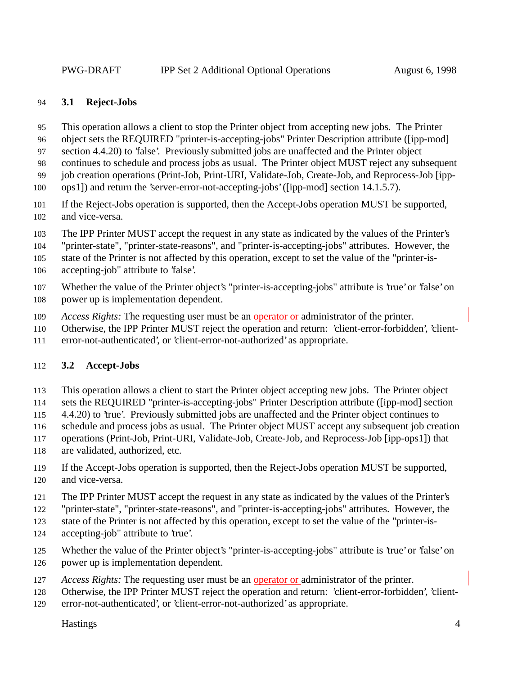#### **3.1 Reject-Jobs**

- This operation allows a client to stop the Printer object from accepting new jobs. The Printer
- object sets the REQUIRED "printer-is-accepting-jobs" Printer Description attribute ([ipp-mod]
- section 4.4.20) to 'false'. Previously submitted jobs are unaffected and the Printer object
- continues to schedule and process jobs as usual. The Printer object MUST reject any subsequent
- job creation operations (Print-Job, Print-URI, Validate-Job, Create-Job, and Reprocess-Job [ipp-
- ops1]) and return the 'server-error-not-accepting-jobs' ([ipp-mod] section 14.1.5.7).
- If the Reject-Jobs operation is supported, then the Accept-Jobs operation MUST be supported, and vice-versa.
- The IPP Printer MUST accept the request in any state as indicated by the values of the Printer's
- "printer-state", "printer-state-reasons", and "printer-is-accepting-jobs" attributes. However, the
- state of the Printer is not affected by this operation, except to set the value of the "printer-is-
- accepting-job" attribute to 'false'.
- Whether the value of the Printer object's "printer-is-accepting-jobs" attribute is 'true' or 'false' on power up is implementation dependent.
- *Access Rights:* The requesting user must be an operator or administrator of the printer.
- Otherwise, the IPP Printer MUST reject the operation and return: 'client-error-forbidden', 'client-
- error-not-authenticated', or 'client-error-not-authorized' as appropriate.

## **3.2 Accept-Jobs**

- This operation allows a client to start the Printer object accepting new jobs. The Printer object
- sets the REQUIRED "printer-is-accepting-jobs" Printer Description attribute ([ipp-mod] section
- 4.4.20) to 'true'. Previously submitted jobs are unaffected and the Printer object continues to
- schedule and process jobs as usual. The Printer object MUST accept any subsequent job creation
- operations (Print-Job, Print-URI, Validate-Job, Create-Job, and Reprocess-Job [ipp-ops1]) that
- are validated, authorized, etc.
- If the Accept-Jobs operation is supported, then the Reject-Jobs operation MUST be supported, and vice-versa.
- The IPP Printer MUST accept the request in any state as indicated by the values of the Printer's
- "printer-state", "printer-state-reasons", and "printer-is-accepting-jobs" attributes. However, the
- state of the Printer is not affected by this operation, except to set the value of the "printer-is-
- 124 accepting-job" attribute to 'true'.
- Whether the value of the Printer object's "printer-is-accepting-jobs" attribute is 'true' or 'false' on power up is implementation dependent.
- *Access Rights:* The requesting user must be an operator or administrator of the printer.
- Otherwise, the IPP Printer MUST reject the operation and return: 'client-error-forbidden', 'client-
- error-not-authenticated', or 'client-error-not-authorized' as appropriate.

Hastings 4